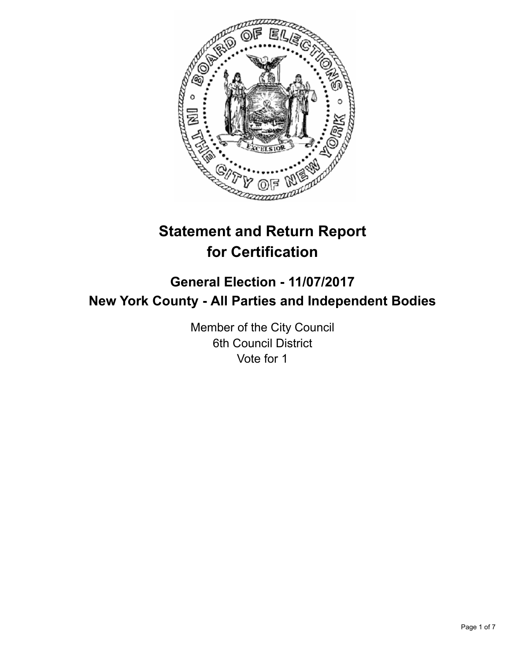

# **Statement and Return Report for Certification**

## **General Election - 11/07/2017 New York County - All Parties and Independent Bodies**

Member of the City Council 6th Council District Vote for 1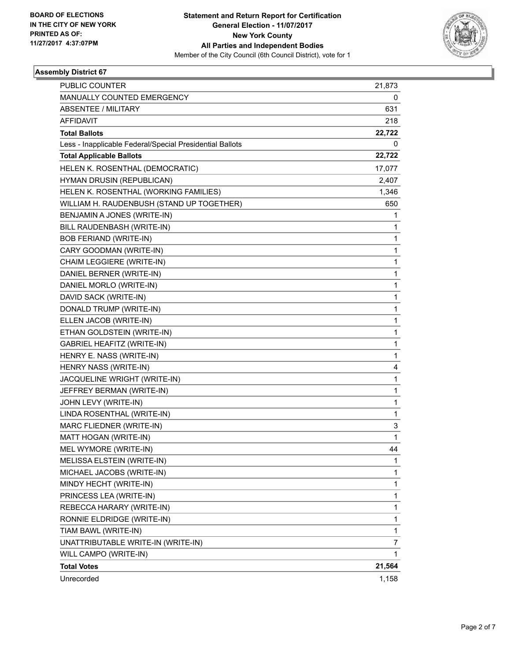

### **Assembly District 67**

| <b>PUBLIC COUNTER</b>                                    | 21,873       |
|----------------------------------------------------------|--------------|
| MANUALLY COUNTED EMERGENCY                               | 0            |
| <b>ABSENTEE / MILITARY</b>                               | 631          |
| <b>AFFIDAVIT</b>                                         | 218          |
| <b>Total Ballots</b>                                     | 22,722       |
| Less - Inapplicable Federal/Special Presidential Ballots | 0            |
| <b>Total Applicable Ballots</b>                          | 22,722       |
| HELEN K. ROSENTHAL (DEMOCRATIC)                          | 17,077       |
| HYMAN DRUSIN (REPUBLICAN)                                | 2,407        |
| HELEN K. ROSENTHAL (WORKING FAMILIES)                    | 1,346        |
| WILLIAM H. RAUDENBUSH (STAND UP TOGETHER)                | 650          |
| BENJAMIN A JONES (WRITE-IN)                              | 1            |
| BILL RAUDENBASH (WRITE-IN)                               | 1            |
| <b>BOB FERIAND (WRITE-IN)</b>                            | 1            |
| CARY GOODMAN (WRITE-IN)                                  | 1            |
| CHAIM LEGGIERE (WRITE-IN)                                | 1            |
| DANIEL BERNER (WRITE-IN)                                 | 1            |
| DANIEL MORLO (WRITE-IN)                                  | 1            |
| DAVID SACK (WRITE-IN)                                    | 1            |
| DONALD TRUMP (WRITE-IN)                                  | 1            |
| ELLEN JACOB (WRITE-IN)                                   | 1            |
| ETHAN GOLDSTEIN (WRITE-IN)                               | 1            |
| <b>GABRIEL HEAFITZ (WRITE-IN)</b>                        | 1            |
| HENRY E. NASS (WRITE-IN)                                 | 1            |
| HENRY NASS (WRITE-IN)                                    | 4            |
| JACQUELINE WRIGHT (WRITE-IN)                             | 1            |
| JEFFREY BERMAN (WRITE-IN)                                | 1            |
| JOHN LEVY (WRITE-IN)                                     | 1            |
| LINDA ROSENTHAL (WRITE-IN)                               | 1            |
| MARC FLIEDNER (WRITE-IN)                                 | 3            |
| MATT HOGAN (WRITE-IN)                                    | $\mathbf{1}$ |
| MEL WYMORE (WRITE-IN)                                    | 44           |
| MELISSA ELSTEIN (WRITE-IN)                               | 1            |
| MICHAEL JACOBS (WRITE-IN)                                | 1            |
| MINDY HECHT (WRITE-IN)                                   | 1            |
| PRINCESS LEA (WRITE-IN)                                  | 1            |
| REBECCA HARARY (WRITE-IN)                                | 1            |
| RONNIE ELDRIDGE (WRITE-IN)                               | 1            |
| TIAM BAWL (WRITE-IN)                                     | 1            |
| UNATTRIBUTABLE WRITE-IN (WRITE-IN)                       | 7            |
| WILL CAMPO (WRITE-IN)                                    | 1            |
| <b>Total Votes</b>                                       | 21,564       |
| Unrecorded                                               | 1,158        |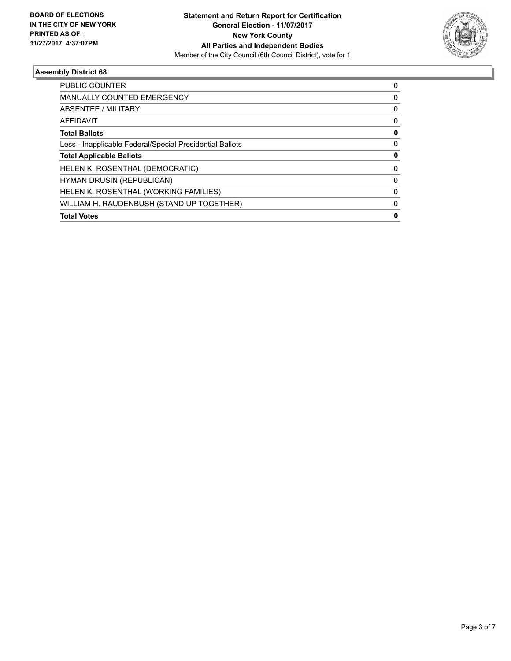

### **Assembly District 68**

| <b>Total Votes</b>                                       | 0        |
|----------------------------------------------------------|----------|
| WILLIAM H. RAUDENBUSH (STAND UP TOGETHER)                | 0        |
| HELEN K. ROSENTHAL (WORKING FAMILIES)                    | $\Omega$ |
| <b>HYMAN DRUSIN (REPUBLICAN)</b>                         | 0        |
| HELEN K. ROSENTHAL (DEMOCRATIC)                          | 0        |
| <b>Total Applicable Ballots</b>                          | 0        |
| Less - Inapplicable Federal/Special Presidential Ballots | 0        |
| <b>Total Ballots</b>                                     | 0        |
| <b>AFFIDAVIT</b>                                         | 0        |
| ABSENTEE / MILITARY                                      | 0        |
| <b>MANUALLY COUNTED EMERGENCY</b>                        | 0        |
| PUBLIC COUNTER                                           | 0        |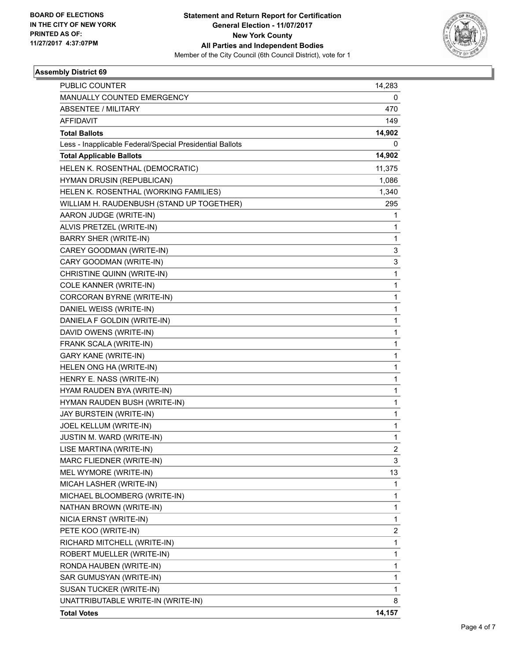

### **Assembly District 69**

| PUBLIC COUNTER                                           | 14,283         |
|----------------------------------------------------------|----------------|
| MANUALLY COUNTED EMERGENCY                               | 0              |
| <b>ABSENTEE / MILITARY</b>                               | 470            |
| <b>AFFIDAVIT</b>                                         | 149            |
| <b>Total Ballots</b>                                     | 14,902         |
| Less - Inapplicable Federal/Special Presidential Ballots | 0              |
| <b>Total Applicable Ballots</b>                          | 14,902         |
| HELEN K. ROSENTHAL (DEMOCRATIC)                          | 11,375         |
| HYMAN DRUSIN (REPUBLICAN)                                | 1,086          |
| HELEN K. ROSENTHAL (WORKING FAMILIES)                    | 1,340          |
| WILLIAM H. RAUDENBUSH (STAND UP TOGETHER)                | 295            |
| AARON JUDGE (WRITE-IN)                                   | 1              |
| ALVIS PRETZEL (WRITE-IN)                                 | $\mathbf{1}$   |
| BARRY SHER (WRITE-IN)                                    | $\mathbf{1}$   |
| CAREY GOODMAN (WRITE-IN)                                 | 3              |
| CARY GOODMAN (WRITE-IN)                                  | 3              |
| CHRISTINE QUINN (WRITE-IN)                               | $\mathbf{1}$   |
| COLE KANNER (WRITE-IN)                                   | 1              |
| CORCORAN BYRNE (WRITE-IN)                                | $\mathbf{1}$   |
| DANIEL WEISS (WRITE-IN)                                  | $\mathbf{1}$   |
| DANIELA F GOLDIN (WRITE-IN)                              | 1              |
| DAVID OWENS (WRITE-IN)                                   | $\mathbf{1}$   |
| FRANK SCALA (WRITE-IN)                                   | $\mathbf{1}$   |
| <b>GARY KANE (WRITE-IN)</b>                              | 1              |
| HELEN ONG HA (WRITE-IN)                                  | $\mathbf{1}$   |
| HENRY E. NASS (WRITE-IN)                                 | $\mathbf{1}$   |
| HYAM RAUDEN BYA (WRITE-IN)                               | 1              |
| HYMAN RAUDEN BUSH (WRITE-IN)                             | $\mathbf{1}$   |
| JAY BURSTEIN (WRITE-IN)                                  | $\mathbf{1}$   |
| JOEL KELLUM (WRITE-IN)                                   | 1              |
| JUSTIN M. WARD (WRITE-IN)                                | $\mathbf{1}$   |
| LISE MARTINA (WRITE-IN)                                  | $\overline{2}$ |
| MARC FLIEDNER (WRITE-IN)                                 | 3              |
| MEL WYMORE (WRITE-IN)                                    | 13             |
| MICAH LASHER (WRITE-IN)                                  | $\mathbf{1}$   |
| MICHAEL BLOOMBERG (WRITE-IN)                             | 1              |
| NATHAN BROWN (WRITE-IN)                                  | $\mathbf{1}$   |
| NICIA ERNST (WRITE-IN)                                   | $\mathbf{1}$   |
| PETE KOO (WRITE-IN)                                      | 2              |
| RICHARD MITCHELL (WRITE-IN)                              | $\mathbf{1}$   |
| ROBERT MUELLER (WRITE-IN)                                | $\mathbf{1}$   |
| RONDA HAUBEN (WRITE-IN)                                  | 1              |
| SAR GUMUSYAN (WRITE-IN)                                  | $\mathbf{1}$   |
| SUSAN TUCKER (WRITE-IN)                                  | $\mathbf{1}$   |
| UNATTRIBUTABLE WRITE-IN (WRITE-IN)                       | 8              |
| <b>Total Votes</b>                                       | 14,157         |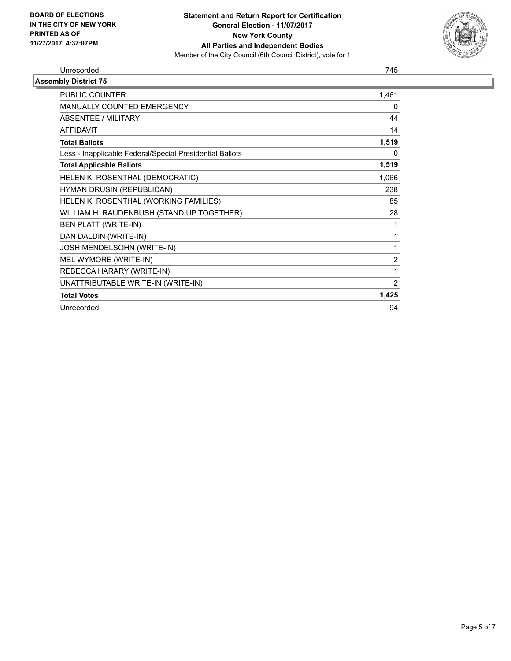

#### Unrecorded 745

| <b>Assembly District 75</b>                              |                |
|----------------------------------------------------------|----------------|
| PUBLIC COUNTER                                           | 1,461          |
| MANUALLY COUNTED EMERGENCY                               | 0              |
| ABSENTEE / MILITARY                                      | 44             |
| <b>AFFIDAVIT</b>                                         | 14             |
| <b>Total Ballots</b>                                     | 1,519          |
| Less - Inapplicable Federal/Special Presidential Ballots | 0              |
| <b>Total Applicable Ballots</b>                          | 1,519          |
| HELEN K. ROSENTHAL (DEMOCRATIC)                          | 1,066          |
| HYMAN DRUSIN (REPUBLICAN)                                | 238            |
| HELEN K. ROSENTHAL (WORKING FAMILIES)                    | 85             |
| WILLIAM H. RAUDENBUSH (STAND UP TOGETHER)                | 28             |
| <b>BEN PLATT (WRITE-IN)</b>                              | 1              |
| DAN DALDIN (WRITE-IN)                                    | 1              |
| JOSH MENDELSOHN (WRITE-IN)                               | 1              |
| MEL WYMORE (WRITE-IN)                                    | $\overline{2}$ |
| REBECCA HARARY (WRITE-IN)                                | 1              |
| UNATTRIBUTABLE WRITE-IN (WRITE-IN)                       | $\overline{2}$ |
| <b>Total Votes</b>                                       | 1,425          |
| Unrecorded                                               | 94             |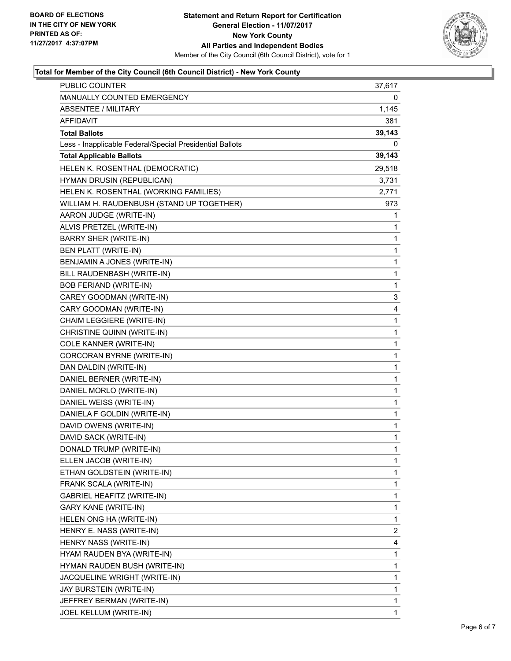

### **Total for Member of the City Council (6th Council District) - New York County**

| PUBLIC COUNTER                                           | 37,617       |
|----------------------------------------------------------|--------------|
| MANUALLY COUNTED EMERGENCY                               | 0            |
| ABSENTEE / MILITARY                                      | 1,145        |
| AFFIDAVIT                                                | 381          |
| <b>Total Ballots</b>                                     | 39,143       |
| Less - Inapplicable Federal/Special Presidential Ballots | 0            |
| <b>Total Applicable Ballots</b>                          | 39,143       |
| HELEN K. ROSENTHAL (DEMOCRATIC)                          | 29,518       |
| HYMAN DRUSIN (REPUBLICAN)                                | 3,731        |
| HELEN K. ROSENTHAL (WORKING FAMILIES)                    | 2,771        |
| WILLIAM H. RAUDENBUSH (STAND UP TOGETHER)                | 973          |
| AARON JUDGE (WRITE-IN)                                   | 1            |
| ALVIS PRETZEL (WRITE-IN)                                 | 1            |
| <b>BARRY SHER (WRITE-IN)</b>                             | 1            |
| <b>BEN PLATT (WRITE-IN)</b>                              | 1            |
| BENJAMIN A JONES (WRITE-IN)                              | 1            |
| BILL RAUDENBASH (WRITE-IN)                               | 1            |
| <b>BOB FERIAND (WRITE-IN)</b>                            | 1            |
| CAREY GOODMAN (WRITE-IN)                                 | 3            |
| CARY GOODMAN (WRITE-IN)                                  | 4            |
| CHAIM LEGGIERE (WRITE-IN)                                | 1            |
| CHRISTINE QUINN (WRITE-IN)                               | 1            |
| COLE KANNER (WRITE-IN)                                   | 1            |
| CORCORAN BYRNE (WRITE-IN)                                | 1            |
| DAN DALDIN (WRITE-IN)                                    | 1            |
| DANIEL BERNER (WRITE-IN)                                 | 1            |
| DANIEL MORLO (WRITE-IN)                                  | 1            |
| DANIEL WEISS (WRITE-IN)                                  | 1            |
| DANIELA F GOLDIN (WRITE-IN)                              | 1            |
| DAVID OWENS (WRITE-IN)                                   | 1            |
| DAVID SACK (WRITE-IN)                                    | 1            |
| DONALD TRUMP (WRITE-IN)                                  | $\mathbf{1}$ |
| ELLEN JACOB (WRITE-IN)                                   | 1            |
| ETHAN GOLDSTEIN (WRITE-IN)                               | 1            |
| FRANK SCALA (WRITE-IN)                                   | 1            |
| GABRIEL HEAFITZ (WRITE-IN)                               | 1            |
| GARY KANE (WRITE-IN)                                     | 1            |
| HELEN ONG HA (WRITE-IN)                                  | 1            |
| HENRY E. NASS (WRITE-IN)                                 | 2            |
| HENRY NASS (WRITE-IN)                                    | 4            |
| HYAM RAUDEN BYA (WRITE-IN)                               | 1            |
| HYMAN RAUDEN BUSH (WRITE-IN)                             | 1            |
| JACQUELINE WRIGHT (WRITE-IN)                             | 1            |
| JAY BURSTEIN (WRITE-IN)                                  | 1            |
| JEFFREY BERMAN (WRITE-IN)                                | 1            |
| JOEL KELLUM (WRITE-IN)                                   | 1            |